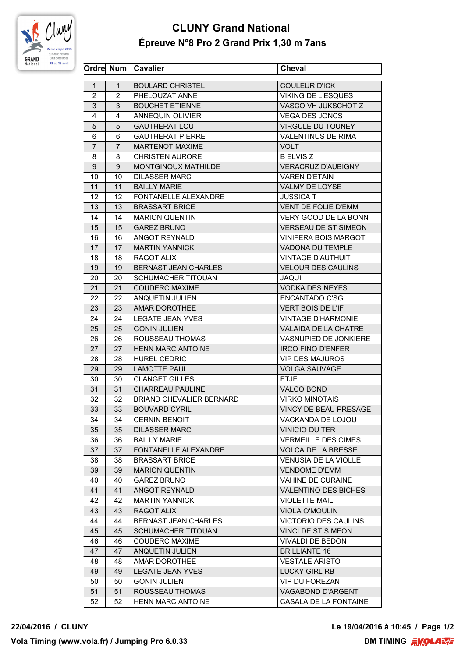

## **CLUNY Grand National Épreuve N°8 Pro 2 Grand Prix 1,30 m 7ans**

|                |              | Ordre Num   Cavalier            | <b>Cheval</b>                |
|----------------|--------------|---------------------------------|------------------------------|
| $\mathbf{1}$   | $\mathbf{1}$ | <b>BOULARD CHRISTEL</b>         | <b>COULEUR D'ICK</b>         |
| $\overline{2}$ | 2            | PHELOUZAT ANNE                  | <b>VIKING DE L'ESQUES</b>    |
| 3              | 3            | <b>BOUCHET ETIENNE</b>          | VASCO VH JUKSCHOT Z          |
| 4              | 4            | <b>ANNEQUIN OLIVIER</b>         | <b>VEGA DES JONCS</b>        |
| 5              | 5            | <b>GAUTHERAT LOU</b>            | <b>VIRGULE DU TOUNEY</b>     |
| 6              | 6            | <b>GAUTHERAT PIERRE</b>         | <b>VALENTINUS DE RIMA</b>    |
| $\overline{7}$ | 7            | <b>MARTENOT MAXIME</b>          | VOLT                         |
| 8              | 8            | <b>CHRISTEN AURORE</b>          | <b>B ELVIS Z</b>             |
| 9              | 9            | MONTGINOUX MATHILDE             | <b>VERACRUZ D'AUBIGNY</b>    |
| 10             | 10           | <b>DILASSER MARC</b>            | <b>VAREN D'ETAIN</b>         |
| 11             | 11           | <b>BAILLY MARIE</b>             | VALMY DE LOYSE               |
| 12             | 12           | <b>FONTANELLE ALEXANDRE</b>     | <b>JUSSICA T</b>             |
| 13             | 13           | <b>BRASSART BRICE</b>           | VENT DE FOLIE D'EMM          |
| 14             | 14           | <b>MARION QUENTIN</b>           | VERY GOOD DE LA BONN         |
| 15             | 15           | <b>GAREZ BRUNO</b>              | VERSEAU DE ST SIMEON         |
| 16             | 16           | ANGOT REYNALD                   | <b>VINIFERA BOIS MARGOT</b>  |
| 17             | 17           | <b>MARTIN YANNICK</b>           | VADONA DU TEMPLE             |
| 18             | 18           | <b>RAGOT ALIX</b>               | <b>VINTAGE D'AUTHUIT</b>     |
| 19             | 19           | <b>BERNAST JEAN CHARLES</b>     | <b>VELOUR DES CAULINS</b>    |
| 20             | 20           | <b>SCHUMACHER TITOUAN</b>       | JAQUI                        |
| 21             | 21           | <b>COUDERC MAXIME</b>           | <b>VODKA DES NEYES</b>       |
| 22             | 22           | ANQUETIN JULIEN                 | <b>ENCANTADO C'SG</b>        |
| 23             | 23           | AMAR DOROTHEE                   | <b>VERT BOIS DE L'IF</b>     |
| 24             | 24           | <b>LEGATE JEAN YVES</b>         | <b>VINTAGE D'HARMONIE</b>    |
| 25             | 25           | <b>GONIN JULIEN</b>             | VALAIDA DE LA CHATRE         |
| 26             | 26           | ROUSSEAU THOMAS                 | VASNUPIED DE JONKIERE        |
| 27             | 27           | <b>HENN MARC ANTOINE</b>        | <b>IRCO FINO D'ENFER</b>     |
| 28             | 28           | <b>HUREL CEDRIC</b>             | <b>VIP DES MAJUROS</b>       |
| 29             | 29           | <b>LAMOTTE PAUL</b>             | <b>VOLGA SAUVAGE</b>         |
| 30             | 30           | <b>CLANGET GILLES</b>           | <b>ETJE</b>                  |
| 31             | 31           | <b>CHARREAU PAULINE</b>         | <b>VALCO BOND</b>            |
| 32             | 32           | <b>BRIAND CHEVALIER BERNARD</b> | <b>VIRKO MINOTAIS</b>        |
| 33             | 33           | <b>BOUVARD CYRIL</b>            | <b>VINCY DE BEAU PRESAGE</b> |
| 34             | 34           | <b>CERNIN BENOIT</b>            | VACKANDA DE LOJOU            |
| 35             | 35           | <b>DILASSER MARC</b>            | VINICIO DU TER               |
| 36             | 36           | <b>BAILLY MARIE</b>             | <b>VERMEILLE DES CIMES</b>   |
| 37             | 37           | FONTANELLE ALEXANDRE            | <b>VOLCA DE LA BRESSE</b>    |
| 38             | 38           | <b>BRASSART BRICE</b>           | <b>VENUSIA DE LA VIOLLE</b>  |
| 39             | 39           | <b>MARION QUENTIN</b>           | <b>VENDOME D'EMM</b>         |
| 40             | 40           | <b>GAREZ BRUNO</b>              | VAHINE DE CURAINE            |
| 41             | 41           | ANGOT REYNALD                   | <b>VALENTINO DES BICHES</b>  |
| 42             | 42           | <b>MARTIN YANNICK</b>           | <b>VIOLETTE MAIL</b>         |
| 43             | 43           | RAGOT ALIX                      | <b>VIOLA O'MOULIN</b>        |
| 44             | 44           | <b>BERNAST JEAN CHARLES</b>     | <b>VICTORIO DES CAULINS</b>  |
| 45             | 45           | SCHUMACHER TITOUAN              | VINCI DE ST SIMEON           |
| 46             | 46           | <b>COUDERC MAXIME</b>           | <b>VIVALDI DE BEDON</b>      |
| 47             | 47           | ANQUETIN JULIEN                 | <b>BRILLIANTE 16</b>         |
| 48             | 48           | AMAR DOROTHEE                   | <b>VESTALE ARISTO</b>        |
| 49             | 49           | <b>LEGATE JEAN YVES</b>         | LUCKY GIRL RB                |
| 50             | 50           | <b>GONIN JULIEN</b>             | <b>VIP DU FOREZAN</b>        |
| 51             | 51           | ROUSSEAU THOMAS                 | VAGABOND D'ARGENT            |
| 52             | 52           | <b>HENN MARC ANTOINE</b>        | CASALA DE LA FONTAINE        |

**22/04/2016 / CLUNY Le 19/04/2016 à 10:45 / Page 1/2**